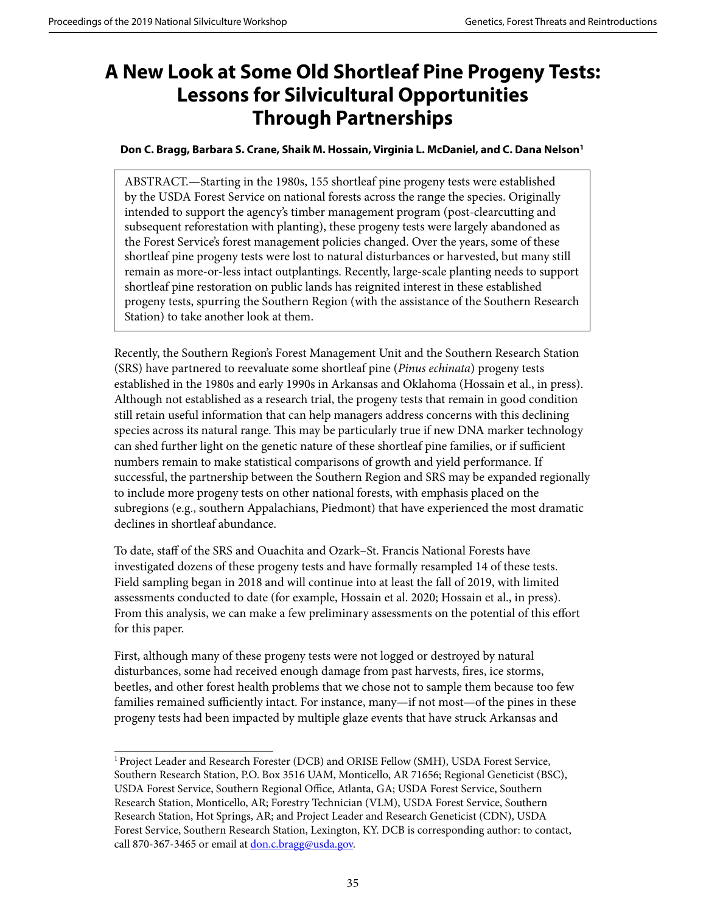## **A New Look at Some Old Shortleaf Pine Progeny Tests: Lessons for Silvicultural Opportunities Through Partnerships**

## **Don C. Bragg, Barbara S. Crane, Shaik M. Hossain, Virginia L. McDaniel, and C. Dana Nelson1**

ABSTRACT.—Starting in the 1980s, 155 shortleaf pine progeny tests were established by the USDA Forest Service on national forests across the range the species. Originally intended to support the agency's timber management program (post-clearcutting and subsequent reforestation with planting), these progeny tests were largely abandoned as the Forest Service's forest management policies changed. Over the years, some of these shortleaf pine progeny tests were lost to natural disturbances or harvested, but many still remain as more-or-less intact outplantings. Recently, large-scale planting needs to support shortleaf pine restoration on public lands has reignited interest in these established progeny tests, spurring the Southern Region (with the assistance of the Southern Research Station) to take another look at them.

Recently, the Southern Region's Forest Management Unit and the Southern Research Station (SRS) have partnered to reevaluate some shortleaf pine (*Pinus echinata*) progeny tests established in the 1980s and early 1990s in Arkansas and Oklahoma (Hossain et al., in press). Although not established as a research trial, the progeny tests that remain in good condition still retain useful information that can help managers address concerns with this declining species across its natural range. This may be particularly true if new DNA marker technology can shed further light on the genetic nature of these shortleaf pine families, or if sufficient numbers remain to make statistical comparisons of growth and yield performance. If successful, the partnership between the Southern Region and SRS may be expanded regionally to include more progeny tests on other national forests, with emphasis placed on the subregions (e.g., southern Appalachians, Piedmont) that have experienced the most dramatic declines in shortleaf abundance.

To date, staff of the SRS and Ouachita and Ozark–St. Francis National Forests have investigated dozens of these progeny tests and have formally resampled 14 of these tests. Field sampling began in 2018 and will continue into at least the fall of 2019, with limited assessments conducted to date (for example, Hossain et al. 2020; Hossain et al., in press). From this analysis, we can make a few preliminary assessments on the potential of this effort for this paper.

First, although many of these progeny tests were not logged or destroyed by natural disturbances, some had received enough damage from past harvests, fires, ice storms, beetles, and other forest health problems that we chose not to sample them because too few families remained sufficiently intact. For instance, many—if not most—of the pines in these progeny tests had been impacted by multiple glaze events that have struck Arkansas and

<sup>&</sup>lt;sup>1</sup> Project Leader and Research Forester (DCB) and ORISE Fellow (SMH), USDA Forest Service, Southern Research Station, P.O. Box 3516 UAM, Monticello, AR 71656; Regional Geneticist (BSC), USDA Forest Service, Southern Regional Office, Atlanta, GA; USDA Forest Service, Southern Research Station, Monticello, AR; Forestry Technician (VLM), USDA Forest Service, Southern Research Station, Hot Springs, AR; and Project Leader and Research Geneticist (CDN), USDA Forest Service, Southern Research Station, Lexington, KY. DCB is corresponding author: to contact, call 870-367-3465 or email at [don.c.bragg@usda.gov](mailto:don.c.bragg%40usda.gov?subject=).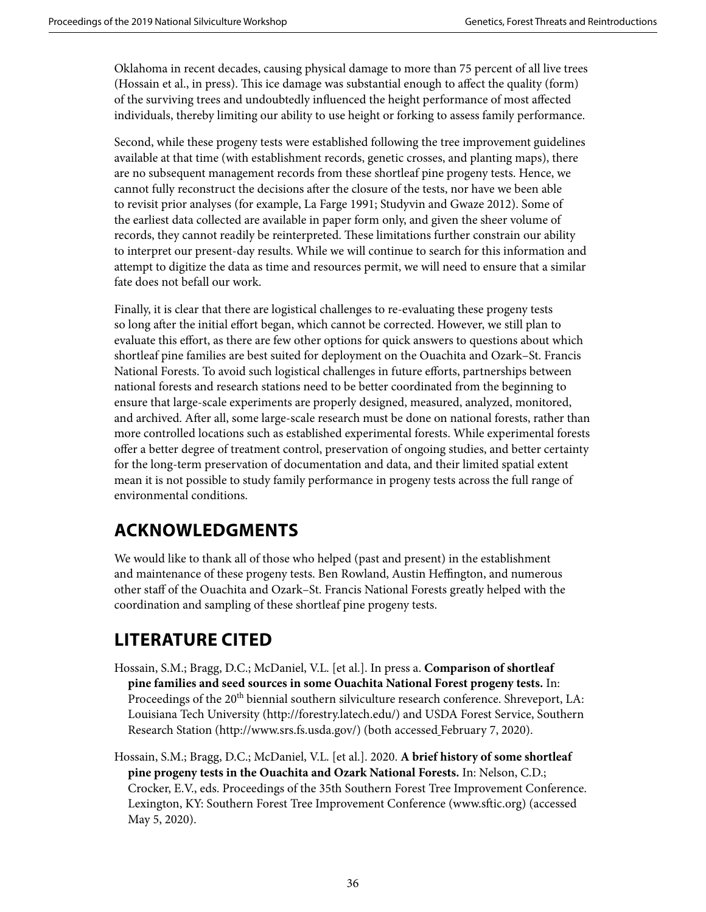Oklahoma in recent decades, causing physical damage to more than 75 percent of all live trees (Hossain et al., in press). This ice damage was substantial enough to affect the quality (form) of the surviving trees and undoubtedly influenced the height performance of most affected individuals, thereby limiting our ability to use height or forking to assess family performance.

Second, while these progeny tests were established following the tree improvement guidelines available at that time (with establishment records, genetic crosses, and planting maps), there are no subsequent management records from these shortleaf pine progeny tests. Hence, we cannot fully reconstruct the decisions after the closure of the tests, nor have we been able to revisit prior analyses (for example, La Farge 1991; Studyvin and Gwaze 2012). Some of the earliest data collected are available in paper form only, and given the sheer volume of records, they cannot readily be reinterpreted. These limitations further constrain our ability to interpret our present-day results. While we will continue to search for this information and attempt to digitize the data as time and resources permit, we will need to ensure that a similar fate does not befall our work.

Finally, it is clear that there are logistical challenges to re-evaluating these progeny tests so long after the initial effort began, which cannot be corrected. However, we still plan to evaluate this effort, as there are few other options for quick answers to questions about which shortleaf pine families are best suited for deployment on the Ouachita and Ozark–St. Francis National Forests. To avoid such logistical challenges in future efforts, partnerships between national forests and research stations need to be better coordinated from the beginning to ensure that large-scale experiments are properly designed, measured, analyzed, monitored, and archived. After all, some large-scale research must be done on national forests, rather than more controlled locations such as established experimental forests. While experimental forests offer a better degree of treatment control, preservation of ongoing studies, and better certainty for the long-term preservation of documentation and data, and their limited spatial extent mean it is not possible to study family performance in progeny tests across the full range of environmental conditions.

## **ACKNOWLEDGMENTS**

We would like to thank all of those who helped (past and present) in the establishment and maintenance of these progeny tests. Ben Rowland, Austin Heffington, and numerous other staff of the Ouachita and Ozark–St. Francis National Forests greatly helped with the coordination and sampling of these shortleaf pine progeny tests.

## **LITERATURE CITED**

- Hossain, S.M.; Bragg, D.C.; McDaniel, V.L. [et al.]. In press a. **Comparison of shortleaf pine families and seed sources in some Ouachita National Forest progeny tests.** In: Proceedings of the 20<sup>th</sup> biennial southern silviculture research conference. Shreveport, LA: Louisiana Tech University (http://forestry.latech.edu/) and USDA Forest Service, Southern Research Station (http://www.srs.fs.usda.gov/) (both accessed February 7, 2020).
- Hossain, S.M.; Bragg, D.C.; McDaniel, V.L. [et al.]. 2020. **A brief history of some shortleaf pine progeny tests in the Ouachita and Ozark National Forests.** In: Nelson, C.D.; Crocker, E.V., eds. Proceedings of the 35th Southern Forest Tree Improvement Conference. Lexington, KY: Southern Forest Tree Improvement Conference (www.sftic.org) (accessed May 5, 2020).